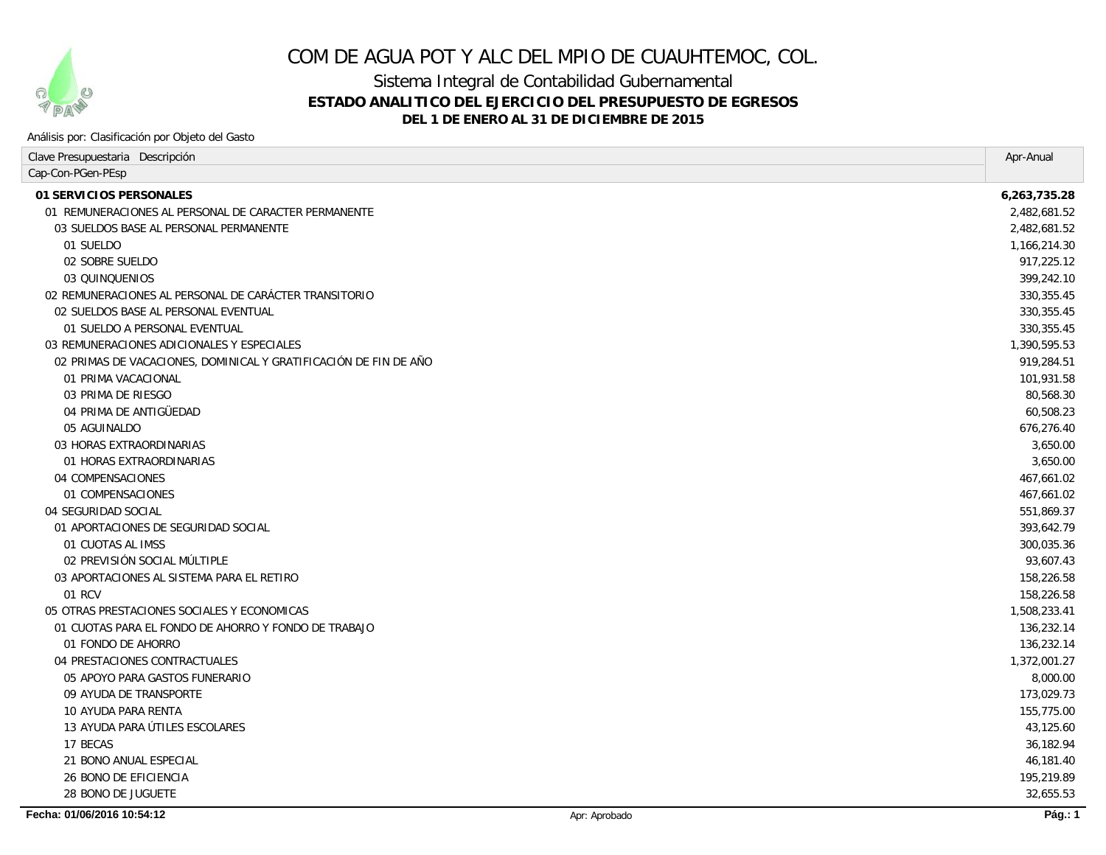

# COM DE AGUA POT Y ALC DEL MPIO DE CUAUHTEMOC, COL.

Sistema Integral de Contabilidad Gubernamental

## **ESTADO ANALITICO DEL EJERCICIO DEL PRESUPUESTO DE EGRESOS**

**DEL 1 DE ENERO AL 31 DE DICIEMBRE DE 2015**

#### Análisis por: Clasificación por Objeto del Gasto

| Clave Presupuestaria Descripción                                 |               | Apr-Anual    |
|------------------------------------------------------------------|---------------|--------------|
| Cap-Con-PGen-PEsp                                                |               |              |
| 01 SERVICIOS PERSONALES                                          |               | 6,263,735.28 |
| 01 REMUNERACIONES AL PERSONAL DE CARACTER PERMANENTE             |               | 2,482,681.52 |
| 03 SUELDOS BASE AL PERSONAL PERMANENTE                           |               | 2,482,681.52 |
| 01 SUELDO                                                        |               | 1,166,214.30 |
| 02 SOBRE SUELDO                                                  |               | 917,225.12   |
| 03 QUINQUENIOS                                                   |               | 399,242.10   |
| 02 REMUNERACIONES AL PERSONAL DE CARÁCTER TRANSITORIO            |               | 330,355.45   |
| 02 SUELDOS BASE AL PERSONAL EVENTUAL                             |               | 330,355.45   |
| 01 SUELDO A PERSONAL EVENTUAL                                    |               | 330, 355.45  |
| 03 REMUNERACIONES ADICIONALES Y ESPECIALES                       |               | 1,390,595.53 |
| 02 PRIMAS DE VACACIONES, DOMINICAL Y GRATIFICACIÓN DE FIN DE AÑO |               | 919,284.51   |
| 01 PRIMA VACACIONAL                                              |               | 101,931.58   |
| 03 PRIMA DE RIESGO                                               |               | 80,568.30    |
| 04 PRIMA DE ANTIGÜEDAD                                           |               | 60,508.23    |
| 05 AGUINALDO                                                     |               | 676,276.40   |
| 03 HORAS EXTRAORDINARIAS                                         |               | 3,650.00     |
| 01 HORAS EXTRAORDINARIAS                                         |               | 3.650.00     |
| 04 COMPENSACIONES                                                |               | 467.661.02   |
| 01 COMPENSACIONES                                                |               | 467,661.02   |
| 04 SEGURIDAD SOCIAL                                              |               | 551,869.37   |
| 01 APORTACIONES DE SEGURIDAD SOCIAL                              |               | 393,642.79   |
| 01 CUOTAS AL IMSS                                                |               | 300,035.36   |
| 02 PREVISIÓN SOCIAL MÚLTIPLE                                     |               | 93,607.43    |
| 03 APORTACIONES AL SISTEMA PARA EL RETIRO                        |               | 158,226.58   |
| 01 RCV                                                           |               | 158,226.58   |
| 05 OTRAS PRESTACIONES SOCIALES Y ECONOMICAS                      |               | 1,508,233.41 |
| 01 CUOTAS PARA EL FONDO DE AHORRO Y FONDO DE TRABAJO             |               | 136,232.14   |
| 01 FONDO DE AHORRO                                               |               | 136,232.14   |
| 04 PRESTACIONES CONTRACTUALES                                    |               | 1,372,001.27 |
| 05 APOYO PARA GASTOS FUNERARIO                                   |               | 8,000.00     |
| 09 AYUDA DE TRANSPORTE                                           |               | 173,029.73   |
| 10 AYUDA PARA RENTA                                              |               | 155,775.00   |
| 13 AYUDA PARA ÚTILES ESCOLARES                                   |               | 43,125.60    |
| 17 BECAS                                                         |               | 36,182.94    |
| 21 BONO ANUAL ESPECIAL                                           |               | 46,181.40    |
| <b>26 BONO DE EFICIENCIA</b>                                     |               | 195,219.89   |
| 28 BONO DE JUGUETE                                               |               | 32,655.53    |
| Fecha: 01/06/2016 10:54:12                                       | Apr: Aprobado | Pág.: 1      |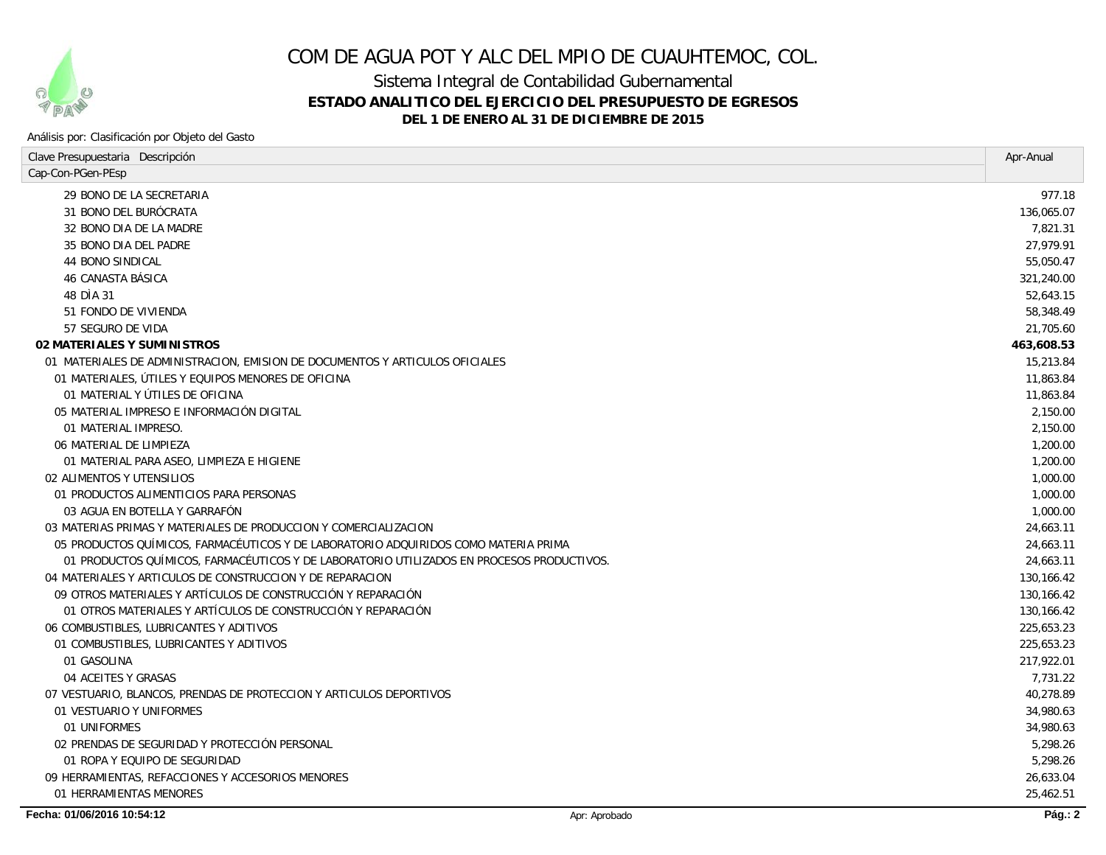

# COM DE AGUA POT Y ALC DEL MPIO DE CUAUHTEMOC, COL.

Sistema Integral de Contabilidad Gubernamental

## **ESTADO ANALITICO DEL EJERCICIO DEL PRESUPUESTO DE EGRESOS**

**DEL 1 DE ENERO AL 31 DE DICIEMBRE DE 2015**

#### Análisis por: Clasificación por Objeto del Gasto

| Clave Presupuestaria Descripción                                                          | Apr-Anual       |
|-------------------------------------------------------------------------------------------|-----------------|
| Cap-Con-PGen-PEsp                                                                         |                 |
| 29 BONO DE LA SECRETARIA                                                                  | 977.18          |
| <i>31 BONO DEL BURÓCRATA</i>                                                              | 136.065.07      |
| 32 BONO DIA DE LA MADRE                                                                   | 7,821.31        |
| 35 BONO DIA DEL PADRE                                                                     | 27.979.91       |
| <b>44 BONO SINDICAL</b>                                                                   | 55,050.47       |
| 46 CANASTA BÁSICA                                                                         | 321,240.00      |
| 48 DIA 31                                                                                 | 52,643.15       |
| 51 FONDO DE VIVIENDA                                                                      | 58,348.49       |
| 57 SEGURO DE VIDA                                                                         | 21,705.60       |
| 02 MATERIALES Y SUMINISTROS                                                               | 463,608.53      |
| 01 MATERIALES DE ADMINISTRACION, EMISION DE DOCUMENTOS Y ARTICULOS OFICIALES              | 15,213.84       |
| 01 MATERIALES, ÚTILES Y EQUIPOS MENORES DE OFICINA                                        | 11,863.84       |
| 01 MATERIAL Y ÚTILES DE OFICINA                                                           | 11,863.84       |
| 05 MATERIAL IMPRESO E INFORMACIÓN DIGITAL                                                 | 2,150.00        |
| 01 MATERIAL IMPRESO.                                                                      | 2,150.00        |
| 06 MATERIAL DE LIMPIEZA                                                                   | 1,200.00        |
| 01 MATERIAL PARA ASEO, LIMPIEZA E HIGIENE                                                 | 1,200.00        |
| 02 ALIMENTOS Y UTENSILIOS                                                                 | 1,000.00        |
| 01 PRODUCTOS ALIMENTICIOS PARA PERSONAS                                                   | 1,000.00        |
| 03 AGUA EN BOTELLA Y GARRAFÓN                                                             | <i>1,000.00</i> |
| 03 MATERIAS PRIMAS Y MATERIALES DE PRODUCCION Y COMERCIALIZACION                          | 24,663.11       |
| 05 PRODUCTOS QUÍMICOS, FARMACÉUTICOS Y DE LABORATORIO ADQUIRIDOS COMO MATERIA PRIMA       | 24,663.11       |
| 01 PRODUCTOS QUÍMICOS, FARMACÉUTICOS Y DE LABORATORIO UTILIZADOS EN PROCESOS PRODUCTIVOS. | 24,663.11       |
| 04 MATERIALES Y ARTICULOS DE CONSTRUCCION Y DE REPARACION                                 | 130,166.42      |
| 09 OTROS MATERIALES Y ARTÍCULOS DE CONSTRUCCIÓN Y REPARACIÓN                              | 130,166.42      |
| 01 OTROS MATERIALES Y ARTÍCULOS DE CONSTRUCCIÓN Y REPARACIÓN                              | 130, 166.42     |
| 06 COMBUSTIBLES, LUBRICANTES Y ADITIVOS                                                   | 225,653.23      |
| 01 COMBUSTIBLES, LUBRICANTES Y ADITIVOS                                                   | 225,653.23      |
| 01 GASOLINA                                                                               | 217,922.01      |
| 04 ACEITES Y GRASAS                                                                       | 7,731.22        |
| 07 VESTUARIO, BLANCOS, PRENDAS DE PROTECCION Y ARTICULOS DEPORTIVOS                       | 40,278.89       |
| 01 VESTUARIO Y UNIFORMES                                                                  | 34,980.63       |
| 01 UNIFORMES                                                                              | 34,980.63       |
| 02 PRENDAS DE SEGURIDAD Y PROTECCIÓN PERSONAL                                             | 5,298.26        |
| 01 ROPA Y EQUIPO DE SEGURIDAD                                                             | 5,298.26        |
| 09 HERRAMIENTAS, REFACCIONES Y ACCESORIOS MENORES                                         | 26,633.04       |
| 01 HERRAMIENTAS MENORES                                                                   | 25,462.51       |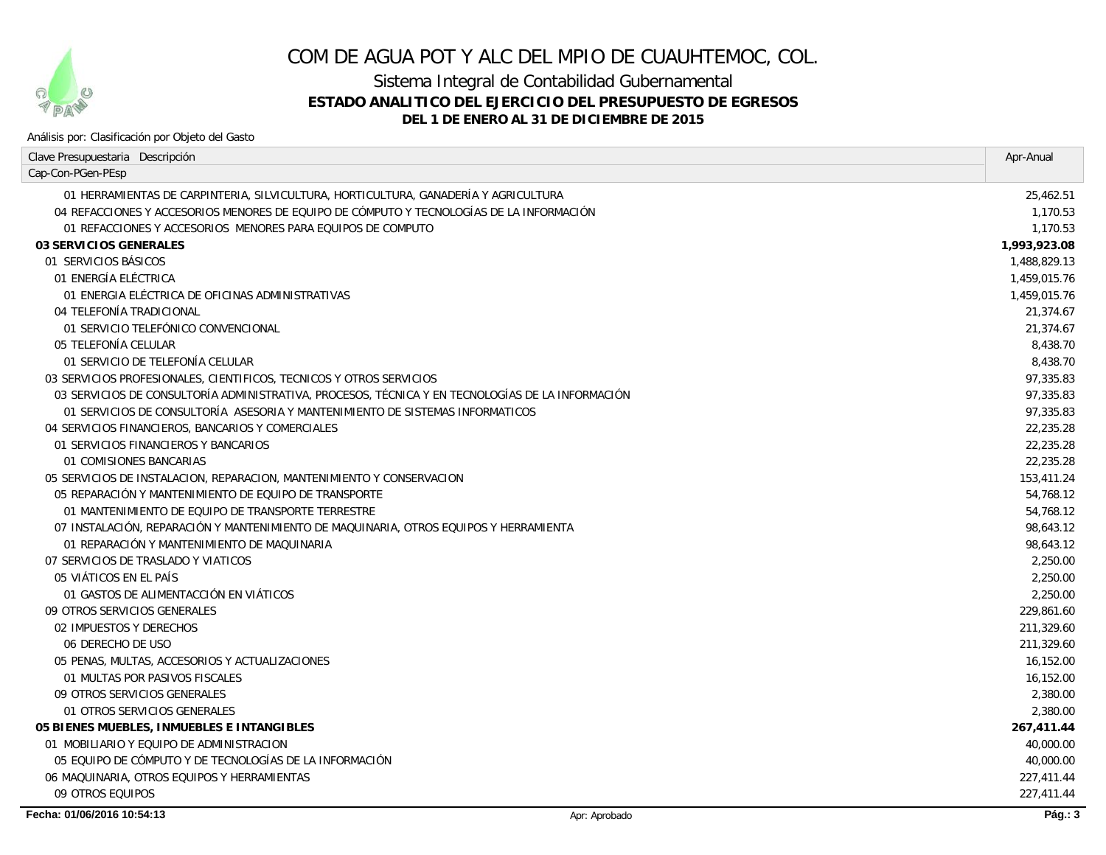

# COM DE AGUA POT Y ALC DEL MPIO DE CUAUHTEMOC, COL.

Sistema Integral de Contabilidad Gubernamental

## **ESTADO ANALITICO DEL EJERCICIO DEL PRESUPUESTO DE EGRESOS**

### **DEL 1 DE ENERO AL 31 DE DICIEMBRE DE 2015**

#### Análisis por: Clasificación por Objeto del Gasto

| Clave Presupuestaria Descripción                                                                 |               | Apr-Anual    |
|--------------------------------------------------------------------------------------------------|---------------|--------------|
| Cap-Con-PGen-PEsp                                                                                |               |              |
| 01 HERRAMIENTAS DE CARPINTERIA, SILVICULTURA, HORTICULTURA, GANADERÍA Y AGRICULTURA              |               | 25,462.51    |
| 04 REFACCIONES Y ACCESORIOS MENORES DE EQUIPO DE CÓMPUTO Y TECNOLOGÍAS DE LA INFORMACIÓN         |               | 1.170.53     |
| 01 REFACCIONES Y ACCESORIOS MENORES PARA EQUIPOS DE COMPUTO                                      |               | 1.170.53     |
| 03 SERVICIOS GENERALES                                                                           |               | 1,993,923.08 |
| 01 SERVICIOS BÁSICOS                                                                             |               | 1,488,829.13 |
| 01 ENERGÍA ELÉCTRICA                                                                             |               | 1,459,015.76 |
| 01 ENERGIA ELÉCTRICA DE OFICINAS ADMINISTRATIVAS                                                 |               | 1,459,015.76 |
| 04 TELEFONÍA TRADICIONAL                                                                         |               | 21.374.67    |
| 01 SERVICIO TELEFÓNICO CONVENCIONAL                                                              |               | 21,374.67    |
| 05 TELEFONÍA CELULAR                                                                             |               | 8.438.70     |
| 01 SERVICIO DE TELEFONÍA CELULAR                                                                 |               | 8.438.70     |
| 03 SERVICIOS PROFESIONALES, CIENTIFICOS, TECNICOS Y OTROS SERVICIOS                              |               | 97,335.83    |
| 03 SERVICIOS DE CONSULTORÍA ADMINISTRATIVA, PROCESOS, TÉCNICA Y EN TECNOLOGÍAS DE LA INFORMACIÓN |               | 97,335.83    |
| 01 SERVICIOS DE CONSULTORÍA ASESORIA Y MANTENIMIENTO DE SISTEMAS INFORMATICOS                    |               | 97,335.83    |
| 04 SERVICIOS FINANCIEROS, BANCARIOS Y COMERCIALES                                                |               | 22,235.28    |
| 01 SERVICIOS FINANCIEROS Y BANCARIOS                                                             |               | 22.235.28    |
| 01 COMISIONES BANCARIAS                                                                          |               | 22.235.28    |
| 05 SERVICIOS DE INSTALACION, REPARACION, MANTENIMIENTO Y CONSERVACION                            |               | 153,411.24   |
| 05 REPARACIÓN Y MANTENIMIENTO DE EOUIPO DE TRANSPORTE                                            |               | 54.768.12    |
| 01 MANTENIMIENTO DE EOUIPO DE TRANSPORTE TERRESTRE                                               |               | 54,768.12    |
| 07 INSTALACIÓN, REPARACIÓN Y MANTENIMIENTO DE MAQUINARIA, OTROS EQUIPOS Y HERRAMIENTA            |               | 98,643.12    |
| 01 REPARACIÓN Y MANTENIMIENTO DE MAQUINARIA                                                      |               | 98,643.12    |
| 07 SERVICIOS DE TRASLADO Y VIATICOS                                                              |               | 2,250.00     |
| 05 VIÁTICOS EN EL PAÍS                                                                           |               | 2,250.00     |
| 01 GASTOS DE ALIMENTACCIÓN EN VIÁTICOS                                                           |               | 2,250.00     |
| 09 OTROS SERVICIOS GENERALES                                                                     |               | 229.861.60   |
| 02 IMPUESTOS Y DERECHOS                                                                          |               | 211,329.60   |
| 06 DERECHO DE USO                                                                                |               | 211,329.60   |
| 05 PENAS, MULTAS, ACCESORIOS Y ACTUALIZACIONES                                                   |               | 16,152.00    |
| 01 MULTAS POR PASIVOS FISCALES                                                                   |               | 16,152.00    |
| 09 OTROS SERVICIOS GENERALES                                                                     |               | 2,380.00     |
| 01 OTROS SERVICIOS GENERALES                                                                     |               | 2,380.00     |
| 05 BIENES MUEBLES, INMUEBLES E INTANGIBLES                                                       |               | 267,411.44   |
| 01 MOBILIARIO Y EQUIPO DE ADMINISTRACION                                                         |               | 40,000.00    |
| 05 EQUIPO DE CÓMPUTO Y DE TECNOLOGÍAS DE LA INFORMACIÓN                                          |               | 40,000.00    |
| 06 MAQUINARIA, OTROS EQUIPOS Y HERRAMIENTAS                                                      |               | 227,411.44   |
| 09 OTROS EQUIPOS                                                                                 |               | 227,411.44   |
| Fecha: 01/06/2016 10:54:13                                                                       | Apr: Aprobado | Páa: 3       |